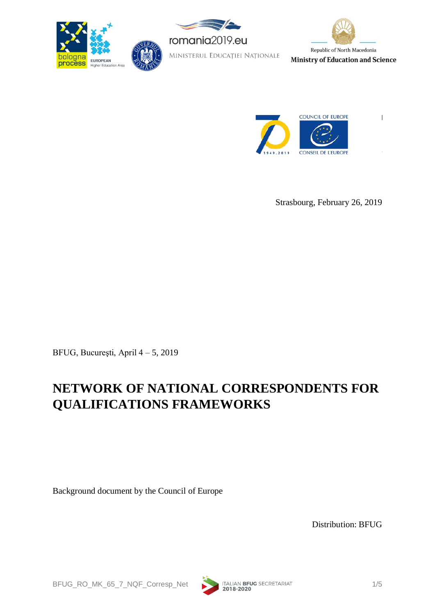







Strasbourg, February 26, 2019

BFUG, Bucureşti, April 4 – 5, 2019

# **NETWORK OF NATIONAL CORRESPONDENTS FOR QUALIFICATIONS FRAMEWORKS**

Background document by the Council of Europe

Distribution: BFUG

BFUG\_RO\_MK\_65\_7\_NQF\_Corresp\_Net 1/5<br>2018-2020

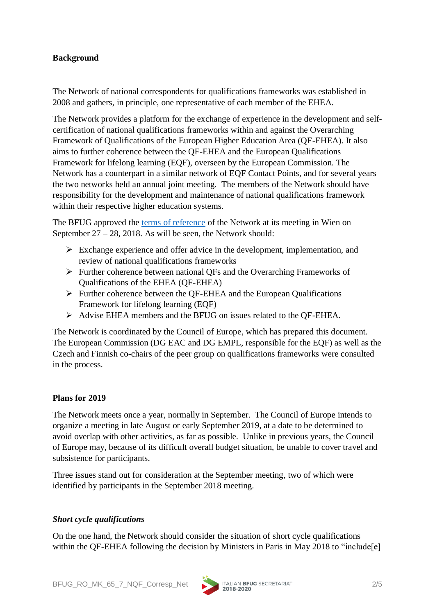## **Background**

The Network of national correspondents for qualifications frameworks was established in 2008 and gathers, in principle, one representative of each member of the EHEA.

The Network provides a platform for the exchange of experience in the development and selfcertification of national qualifications frameworks within and against the Overarching Framework of Qualifications of the European Higher Education Area (QF-EHEA). It also aims to further coherence between the QF-EHEA and the European Qualifications Framework for lifelong learning (EQF), overseen by the European Commission. The Network has a counterpart in a similar network of EQF Contact Points, and for several years the two networks held an annual joint meeting. The members of the Network should have responsibility for the development and maintenance of national qualifications framework within their respective higher education systems.

The BFUG approved the [terms of reference](http://www.ehea.info/Upload/document/bfug/63/BFUG_AU_CH_63_11h_NQF_Network_ToR.pdf) of the Network at its meeting in Wien on September 27 – 28, 2018. As will be seen, the Network should:

- ➢ Exchange experience and offer advice in the development, implementation, and review of national qualifications frameworks
- ➢ Further coherence between national QFs and the Overarching Frameworks of Qualifications of the EHEA (QF-EHEA)
- ➢ Further coherence between the QF-EHEA and the European Qualifications Framework for lifelong learning (EQF)
- ➢ Advise EHEA members and the BFUG on issues related to the QF-EHEA.

The Network is coordinated by the Council of Europe, which has prepared this document. The European Commission (DG EAC and DG EMPL, responsible for the EQF) as well as the Czech and Finnish co-chairs of the peer group on qualifications frameworks were consulted in the process.

### **Plans for 2019**

The Network meets once a year, normally in September. The Council of Europe intends to organize a meeting in late August or early September 2019, at a date to be determined to avoid overlap with other activities, as far as possible. Unlike in previous years, the Council of Europe may, because of its difficult overall budget situation, be unable to cover travel and subsistence for participants.

Three issues stand out for consideration at the September meeting, two of which were identified by participants in the September 2018 meeting.

## *Short cycle qualifications*

On the one hand, the Network should consider the situation of short cycle qualifications within the OF-EHEA following the decision by Ministers in Paris in May 2018 to "include[e]

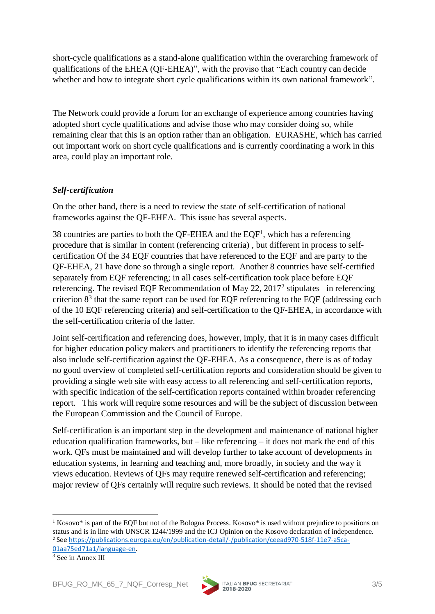short-cycle qualifications as a stand-alone qualification within the overarching framework of qualifications of the EHEA (QF-EHEA)", with the proviso that "Each country can decide whether and how to integrate short cycle qualifications within its own national framework".

The Network could provide a forum for an exchange of experience among countries having adopted short cycle qualifications and advise those who may consider doing so, while remaining clear that this is an option rather than an obligation. EURASHE, which has carried out important work on short cycle qualifications and is currently coordinating a work in this area, could play an important role.

## *Self-certification*

On the other hand, there is a need to review the state of self-certification of national frameworks against the QF-EHEA. This issue has several aspects.

38 countries are parties to both the QF-EHEA and the EQF<sup>1</sup>, which has a referencing procedure that is similar in content (referencing criteria) , but different in process to selfcertification Of the 34 EQF countries that have referenced to the EQF and are party to the QF-EHEA, 21 have done so through a single report. Another 8 countries have self-certified separately from EQF referencing; in all cases self-certification took place before EQF referencing. The revised EQF Recommendation of May 22,  $2017^2$  stipulates in referencing criterion  $8<sup>3</sup>$  that the same report can be used for EQF referencing to the EQF (addressing each of the 10 EQF referencing criteria) and self-certification to the QF-EHEA, in accordance with the self-certification criteria of the latter.

Joint self-certification and referencing does, however, imply, that it is in many cases difficult for higher education policy makers and practitioners to identify the referencing reports that also include self-certification against the QF-EHEA. As a consequence, there is as of today no good overview of completed self-certification reports and consideration should be given to providing a single web site with easy access to all referencing and self-certification reports, with specific indication of the self-certification reports contained within broader referencing report. This work will require some resources and will be the subject of discussion between the European Commission and the Council of Europe.

Self-certification is an important step in the development and maintenance of national higher education qualification frameworks, but  $-$  like referencing  $-$  it does not mark the end of this work. QFs must be maintained and will develop further to take account of developments in education systems, in learning and teaching and, more broadly, in society and the way it views education. Reviews of QFs may require renewed self-certification and referencing; major review of QFs certainly will require such reviews. It should be noted that the revised

.



<sup>&</sup>lt;sup>1</sup> Kosovo\* is part of the EQF but not of the Bologna Process. Kosovo\* is used without prejudice to positions on status and is in line with UNSCR 1244/1999 and the ICJ Opinion on the Kosovo declaration of independence. <sup>2</sup> Se[e https://publications.europa.eu/en/publication-detail/-/publication/ceead970-518f-11e7-a5ca-](https://publications.europa.eu/en/publication-detail/-/publication/ceead970-518f-11e7-a5ca-01aa75ed71a1/language-en)[01aa75ed71a1/language-en.](https://publications.europa.eu/en/publication-detail/-/publication/ceead970-518f-11e7-a5ca-01aa75ed71a1/language-en)

 $3$  See in Annex III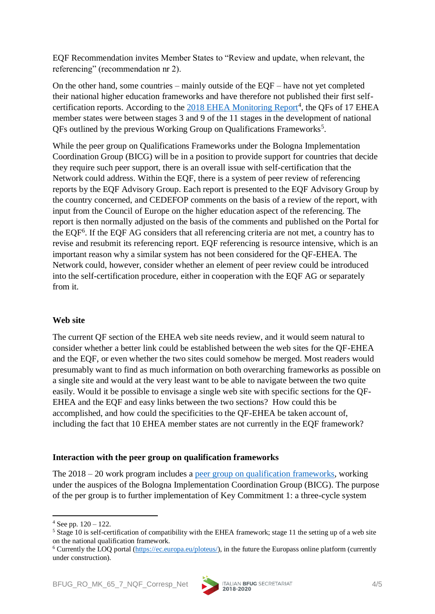EQF Recommendation invites Member States to "Review and update, when relevant, the referencing" (recommendation nr 2).

On the other hand, some countries – mainly outside of the EQF – have not yet completed their national higher education frameworks and have therefore not published their first self-certification reports. According to the [2018 EHEA Monitoring Report](http://www.ehea.info/Upload/BP2018.pdf)<sup>4</sup>, the QFs of 17 EHEA member states were between stages 3 and 9 of the 11 stages in the development of national QFs outlined by the previous Working Group on Qualifications Frameworks<sup>5</sup>.

While the peer group on Qualifications Frameworks under the Bologna Implementation Coordination Group (BICG) will be in a position to provide support for countries that decide they require such peer support, there is an overall issue with self-certification that the Network could address. Within the EQF, there is a system of peer review of referencing reports by the EQF Advisory Group. Each report is presented to the EQF Advisory Group by the country concerned, and CEDEFOP comments on the basis of a review of the report, with input from the Council of Europe on the higher education aspect of the referencing. The report is then normally adjusted on the basis of the comments and published on the Portal for the EQF<sup>6</sup> . If the EQF AG considers that all referencing criteria are not met, a country has to revise and resubmit its referencing report. EQF referencing is resource intensive, which is an important reason why a similar system has not been considered for the QF-EHEA. The Network could, however, consider whether an element of peer review could be introduced into the self-certification procedure, either in cooperation with the EQF AG or separately from it.

### **Web site**

The current QF section of the EHEA web site needs review, and it would seem natural to consider whether a better link could be established between the web sites for the QF-EHEA and the EQF, or even whether the two sites could somehow be merged. Most readers would presumably want to find as much information on both overarching frameworks as possible on a single site and would at the very least want to be able to navigate between the two quite easily. Would it be possible to envisage a single web site with specific sections for the QF-EHEA and the EQF and easy links between the two sections? How could this be accomplished, and how could the specificities to the QF-EHEA be taken account of, including the fact that 10 EHEA member states are not currently in the EQF framework?

### **Interaction with the peer group on qualification frameworks**

The 2018 – 20 work program includes a [peer group on qualification](http://ehea.info/page-peer-group-A-QF) frameworks, working under the auspices of the Bologna Implementation Coordination Group (BICG). The purpose of the per group is to further implementation of Key Commitment 1: a three-cycle system

.



 $4$  See pp.  $120 - 122$ .

<sup>&</sup>lt;sup>5</sup> Stage 10 is self-certification of compatibility with the EHEA framework; stage 11 the setting up of a web site on the national qualification framework.

<sup>6</sup> Currently the LOQ portal [\(https://ec.europa.eu/ploteus/\)](https://ec.europa.eu/ploteus/), in the future the Europass online platform (currently under construction).